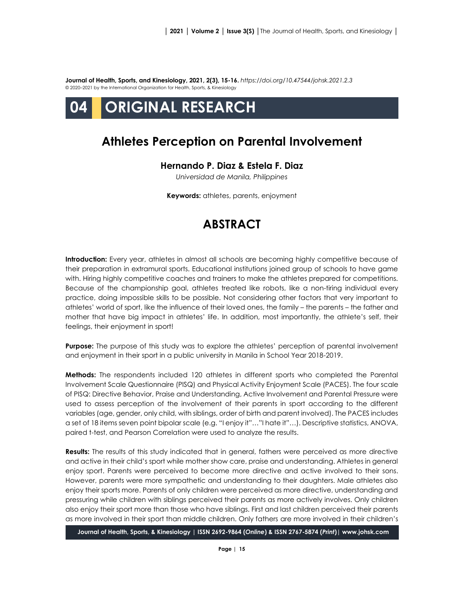**Journal of Health, Sports, and Kinesiology, 2021, 2(3), 15-16.** *<https://doi.org/10.47544/johsk.2021.2.3>* © 2020–2021 by the International Organization for Health, Sports, & Kinesiology

# **04 ORIGINAL RESEARCH**

### **Athletes Perception on Parental Involvement**

#### **Hernando P. Diaz & Estela F. Diaz**

*Universidad de Manila, Philippines*

**Keywords:** athletes, parents, enjoyment

## **ABSTRACT**

**Introduction:** Every year, athletes in almost all schools are becoming highly competitive because of their preparation in extramural sports. Educational institutions joined group of schools to have game with. Hiring highly competitive coaches and trainers to make the athletes prepared for competitions. Because of the championship goal, athletes treated like robots, like a non-tiring individual every practice, doing impossible skills to be possible. Not considering other factors that very important to athletes' world of sport, like the influence of their loved ones, the family – the parents – the father and mother that have big impact in athletes' life. In addition, most importantly, the athlete's self, their feelings, their enjoyment in sport!

**Purpose:** The purpose of this study was to explore the athletes' perception of parental involvement and enjoyment in their sport in a public university in Manila in School Year 2018-2019.

**Methods:** The respondents included 120 athletes in different sports who completed the Parental Involvement Scale Questionnaire (PISQ) and Physical Activity Enjoyment Scale (PACES). The four scale of PISQ: Directive Behavior, Praise and Understanding, Active Involvement and Parental Pressure were used to assess perception of the involvement of their parents in sport according to the different variables (age, gender, only child, with siblings, order of birth and parent involved). The PACES includes a set of 18 items seven point bipolar scale (e.g. "I enjoy it"…"I hate it"…). Descriptive statistics, ANOVA, paired t-test, and Pearson Correlation were used to analyze the results.

**Results:** The results of this study indicated that in general, fathers were perceived as more directive and active in their child's sport while mother show care, praise and understanding. Athletes in general enjoy sport. Parents were perceived to become more directive and active involved to their sons. However, parents were more sympathetic and understanding to their daughters. Male athletes also enjoy their sports more. Parents of only children were perceived as more directive, understanding and pressuring while children with siblings perceived their parents as more actively involves. Only children also enjoy their sport more than those who have siblings. First and last children perceived their parents as more involved in their sport than middle children. Only fathers are more involved in their children's

**Journal of Health, Sports, & Kinesiology | ISSN 2692-9864 (***Online***) & ISSN 2767-5874 (***Print***)| www.johsk.com**